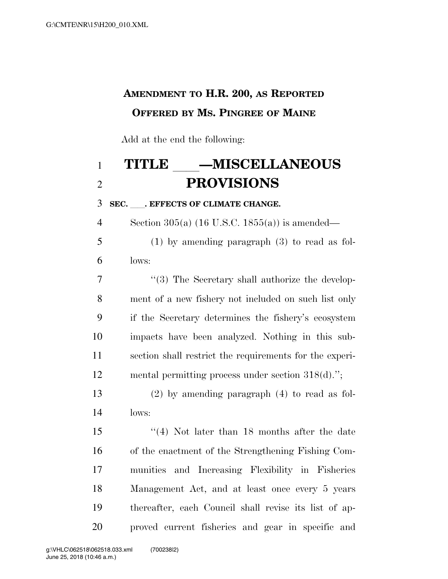## **AMENDMENT TO H.R. 200, AS REPORTED OFFERED BY MS. PINGREE OF MAINE**

Add at the end the following:

## 1 **TITLE \_\_\_\_MISCELLANEOUS**<br>2 **PROVISIONS PROVISIONS**

**SEC.** ll**. EFFECTS OF CLIMATE CHANGE.** 

Section 305(a) (16 U.S.C. 1855(a)) is amended—

 (1) by amending paragraph (3) to read as fol- $6 \qquad \text{lows}$ 

7 "(3) The Secretary shall authorize the develop- ment of a new fishery not included on such list only if the Secretary determines the fishery's ecosystem impacts have been analyzed. Nothing in this sub- section shall restrict the requirements for the experi-mental permitting process under section 318(d).'';

 (2) by amending paragraph (4) to read as fol-lows:

 ''(4) Not later than 18 months after the date of the enactment of the Strengthening Fishing Com- munities and Increasing Flexibility in Fisheries Management Act, and at least once every 5 years thereafter, each Council shall revise its list of ap-proved current fisheries and gear in specific and